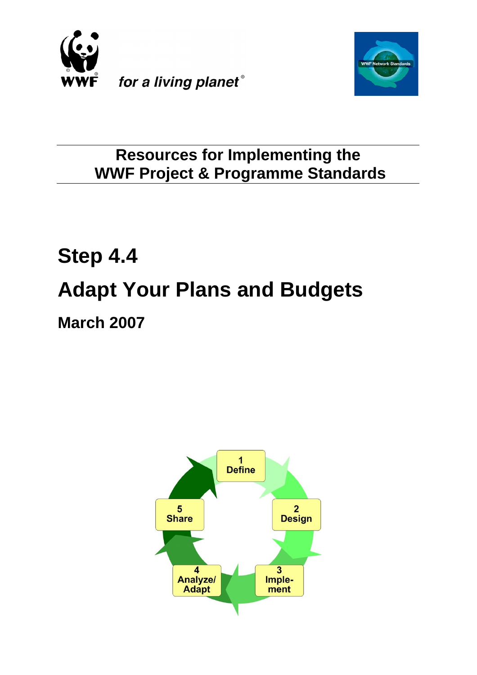



# **Resources for Implementing the WWF Project & Programme Standards**

# **Step 4.4 Adapt Your Plans and Budgets March 2007**

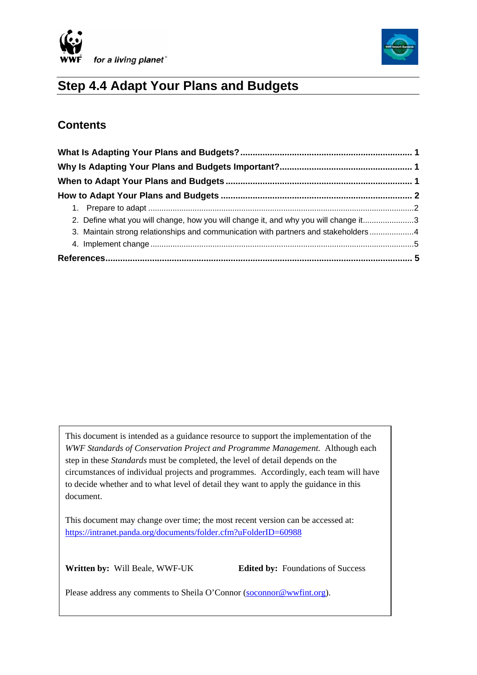



# **Step 4.4 Adapt Your Plans and Budgets**

### **Contents**

| 2. Define what you will change, how you will change it, and why you will change it3 |  |
|-------------------------------------------------------------------------------------|--|
| 3. Maintain strong relationships and communication with partners and stakeholders 4 |  |
|                                                                                     |  |
|                                                                                     |  |

This document is intended as a guidance resource to support the implementation of the *WWF Standards of Conservation Project and Programme Management.* Although each step in these *Standards* must be completed, the level of detail depends on the circumstances of individual projects and programmes. Accordingly, each team will have to decide whether and to what level of detail they want to apply the guidance in this document.

This document may change over time; the most recent version can be accessed at: <https://intranet.panda.org/documents/folder.cfm?uFolderID=60988>

 $\overline{\phantom{a}}$ 

**Written by:** Will Beale, WWF-UK **Edited by:** Foundations of Success

Please address any comments to Sheila O'Connor [\(soconnor@wwfint.org](mailto:soconnor@wwfint.org)).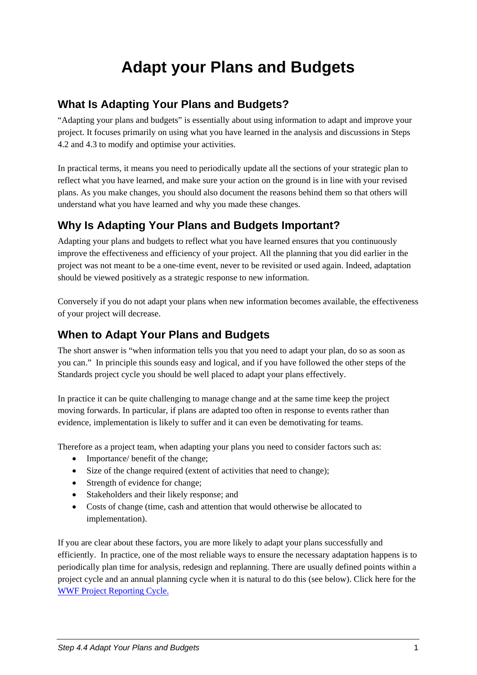# **Adapt your Plans and Budgets**

#### <span id="page-2-0"></span>**What Is Adapting Your Plans and Budgets?**

"Adapting your plans and budgets" is essentially about using information to adapt and improve your project. It focuses primarily on using what you have learned in the analysis and discussions in Steps 4.2 and 4.3 to modify and optimise your activities.

In practical terms, it means you need to periodically update all the sections of your strategic plan to reflect what you have learned, and make sure your action on the ground is in line with your revised plans. As you make changes, you should also document the reasons behind them so that others will understand what you have learned and why you made these changes.

# **Why Is Adapting Your Plans and Budgets Important?**

Adapting your plans and budgets to reflect what you have learned ensures that you continuously improve the effectiveness and efficiency of your project. All the planning that you did earlier in the project was not meant to be a one-time event, never to be revisited or used again. Indeed, adaptation should be viewed positively as a strategic response to new information.

Conversely if you do not adapt your plans when new information becomes available, the effectiveness of your project will decrease.

## **When to Adapt Your Plans and Budgets**

The short answer is "when information tells you that you need to adapt your plan, do so as soon as you can." In principle this sounds easy and logical, and if you have followed the other steps of the Standards project cycle you should be well placed to adapt your plans effectively.

In practice it can be quite challenging to manage change and at the same time keep the project moving forwards. In particular, if plans are adapted too often in response to events rather than evidence, implementation is likely to suffer and it can even be demotivating for teams.

Therefore as a project team, when adapting your plans you need to consider factors such as:

- Importance/ benefit of the change;
- Size of the change required (extent of activities that need to change);
- Strength of evidence for change;
- Stakeholders and their likely response; and
- Costs of change (time, cash and attention that would otherwise be allocated to implementation).

If you are clear about these factors, you are more likely to adapt your plans successfully and efficiently. In practice, one of the most reliable ways to ensure the necessary adaptation happens is to periodically plan time for analysis, redesign and replanning. There are usually defined points within a project cycle and an annual planning cycle when it is natural to do this (see below). Click here for the [WWF Project Reporting Cycle.](http://intranet.panda.org/documents/document.cfm?uFolderID=52860&uDocID=54603)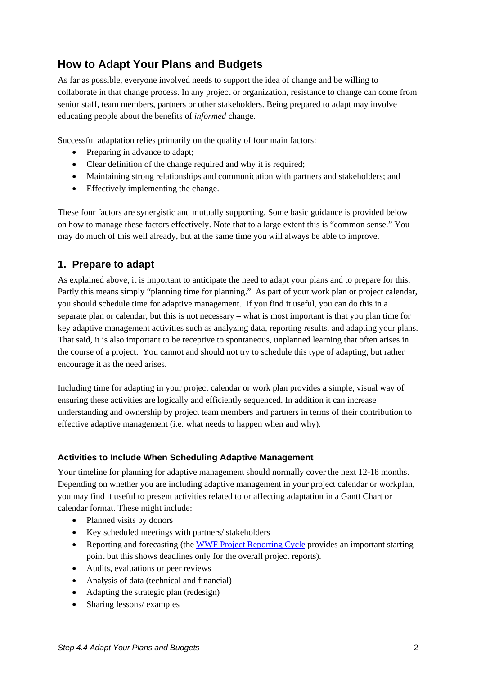# <span id="page-3-0"></span>**How to Adapt Your Plans and Budgets**

As far as possible, everyone involved needs to support the idea of change and be willing to collaborate in that change process. In any project or organization, resistance to change can come from senior staff, team members, partners or other stakeholders. Being prepared to adapt may involve educating people about the benefits of *informed* change.

Successful adaptation relies primarily on the quality of four main factors:

- Preparing in advance to adapt;
- Clear definition of the change required and why it is required;
- Maintaining strong relationships and communication with partners and stakeholders; and
- Effectively implementing the change.

These four factors are synergistic and mutually supporting. Some basic guidance is provided below on how to manage these factors effectively. Note that to a large extent this is "common sense." You may do much of this well already, but at the same time you will always be able to improve.

#### **1. Prepare to adapt**

As explained above, it is important to anticipate the need to adapt your plans and to prepare for this. Partly this means simply "planning time for planning." As part of your work plan or project calendar, you should schedule time for adaptive management. If you find it useful, you can do this in a separate plan or calendar, but this is not necessary – what is most important is that you plan time for key adaptive management activities such as analyzing data, reporting results, and adapting your plans. That said, it is also important to be receptive to spontaneous, unplanned learning that often arises in the course of a project. You cannot and should not try to schedule this type of adapting, but rather encourage it as the need arises.

Including time for adapting in your project calendar or work plan provides a simple, visual way of ensuring these activities are logically and efficiently sequenced. In addition it can increase understanding and ownership by project team members and partners in terms of their contribution to effective adaptive management (i.e. what needs to happen when and why).

#### **Activities to Include When Scheduling Adaptive Management**

Your timeline for planning for adaptive management should normally cover the next 12-18 months. Depending on whether you are including adaptive management in your project calendar or workplan, you may find it useful to present activities related to or affecting adaptation in a Gantt Chart or calendar format. These might include:

- Planned visits by donors
- Key scheduled meetings with partners/ stakeholders
- Reporting and forecasting (the [WWF Project Reporting Cycle](http://intranet.panda.org/documents/document.cfm?uFolderID=52860&uDocID=54603) provides an important starting point but this shows deadlines only for the overall project reports).
- Audits, evaluations or peer reviews
- Analysis of data (technical and financial)
- Adapting the strategic plan (redesign)
- Sharing lessons/ examples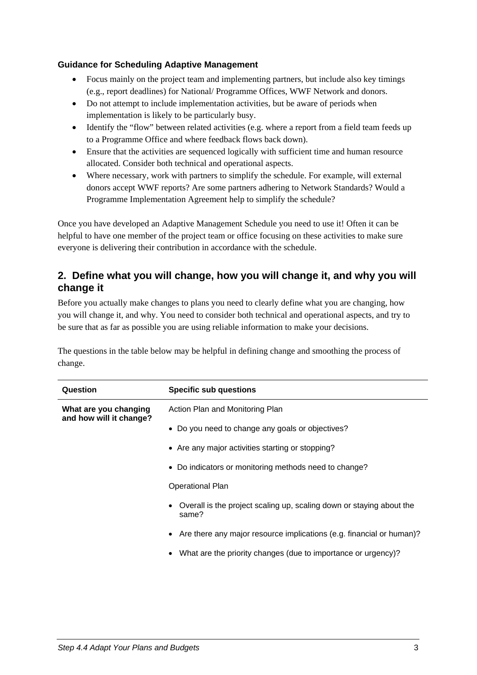#### <span id="page-4-0"></span>**Guidance for Scheduling Adaptive Management**

- Focus mainly on the project team and implementing partners, but include also key timings (e.g., report deadlines) for National/ Programme Offices, WWF Network and donors.
- Do not attempt to include implementation activities, but be aware of periods when implementation is likely to be particularly busy.
- Identify the "flow" between related activities (e.g. where a report from a field team feeds up to a Programme Office and where feedback flows back down).
- Ensure that the activities are sequenced logically with sufficient time and human resource allocated. Consider both technical and operational aspects.
- Where necessary, work with partners to simplify the schedule. For example, will external donors accept WWF reports? Are some partners adhering to Network Standards? Would a Programme Implementation Agreement help to simplify the schedule?

Once you have developed an Adaptive Management Schedule you need to use it! Often it can be helpful to have one member of the project team or office focusing on these activities to make sure everyone is delivering their contribution in accordance with the schedule.

#### **2. Define what you will change, how you will change it, and why you will change it**

Before you actually make changes to plans you need to clearly define what you are changing, how you will change it, and why. You need to consider both technical and operational aspects, and try to be sure that as far as possible you are using reliable information to make your decisions.

The questions in the table below may be helpful in defining change and smoothing the process of change.

| Question                                         | <b>Specific sub questions</b>                                                              |
|--------------------------------------------------|--------------------------------------------------------------------------------------------|
| What are you changing<br>and how will it change? | Action Plan and Monitoring Plan                                                            |
|                                                  | • Do you need to change any goals or objectives?                                           |
|                                                  | • Are any major activities starting or stopping?                                           |
|                                                  | • Do indicators or monitoring methods need to change?                                      |
|                                                  | <b>Operational Plan</b>                                                                    |
|                                                  | Overall is the project scaling up, scaling down or staying about the<br>$\bullet$<br>same? |
|                                                  | Are there any major resource implications (e.g. financial or human)?<br>٠                  |
|                                                  | What are the priority changes (due to importance or urgency)?<br>$\bullet$                 |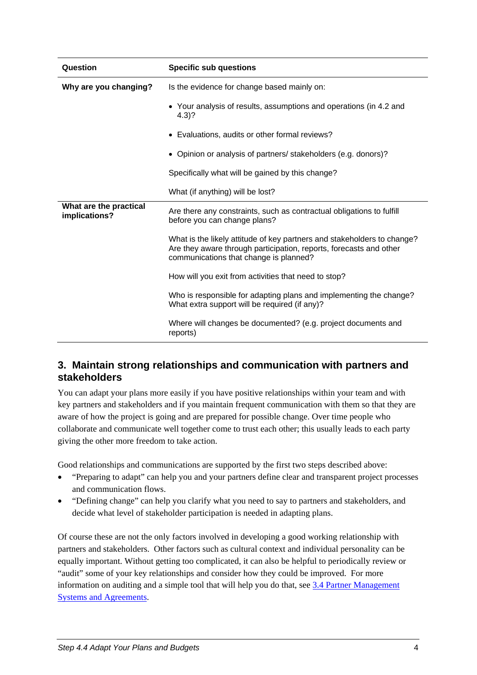<span id="page-5-0"></span>

| Question                                | <b>Specific sub questions</b>                                                                                                                                                           |
|-----------------------------------------|-----------------------------------------------------------------------------------------------------------------------------------------------------------------------------------------|
| Why are you changing?                   | Is the evidence for change based mainly on:                                                                                                                                             |
|                                         | • Your analysis of results, assumptions and operations (in 4.2 and<br>$4.3$ ?                                                                                                           |
|                                         | • Evaluations, audits or other formal reviews?                                                                                                                                          |
|                                         | • Opinion or analysis of partners/ stakeholders (e.g. donors)?                                                                                                                          |
|                                         | Specifically what will be gained by this change?                                                                                                                                        |
|                                         | What (if anything) will be lost?                                                                                                                                                        |
| What are the practical<br>implications? | Are there any constraints, such as contractual obligations to fulfill<br>before you can change plans?                                                                                   |
|                                         | What is the likely attitude of key partners and stakeholders to change?<br>Are they aware through participation, reports, forecasts and other<br>communications that change is planned? |
|                                         | How will you exit from activities that need to stop?                                                                                                                                    |
|                                         | Who is responsible for adapting plans and implementing the change?<br>What extra support will be required (if any)?                                                                     |
|                                         | Where will changes be documented? (e.g. project documents and<br>reports)                                                                                                               |

#### **3. Maintain strong relationships and communication with partners and stakeholders**

You can adapt your plans more easily if you have positive relationships within your team and with key partners and stakeholders and if you maintain frequent communication with them so that they are aware of how the project is going and are prepared for possible change. Over time people who collaborate and communicate well together come to trust each other; this usually leads to each party giving the other more freedom to take action.

Good relationships and communications are supported by the first two steps described above:

- "Preparing to adapt" can help you and your partners define clear and transparent project processes and communication flows.
- "Defining change" can help you clarify what you need to say to partners and stakeholders, and decide what level of stakeholder participation is needed in adapting plans.

Of course these are not the only factors involved in developing a good working relationship with partners and stakeholders. Other factors such as cultural context and individual personality can be equally important. Without getting too complicated, it can also be helpful to periodically review or "audit" some of your key relationships and consider how they could be improved. For more information on auditing and a simple tool that will help you do that, see [3.4 Partner Management](https://intranet.panda.org/documents/folder.cfm?uFolderID=60980)  [Systems and Agreements](https://intranet.panda.org/documents/folder.cfm?uFolderID=60980).